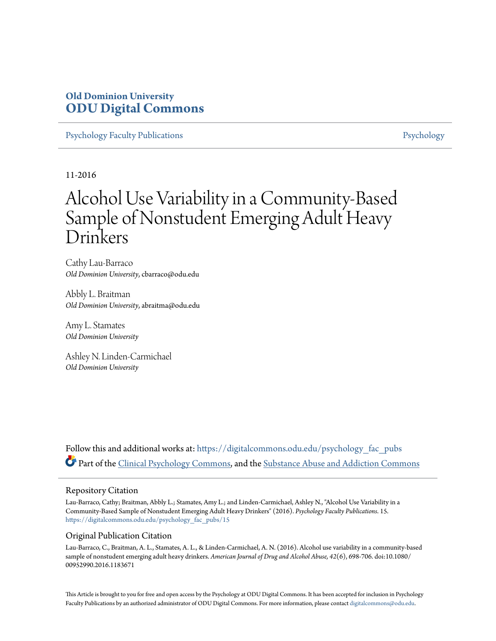### **Old Dominion University [ODU Digital Commons](https://digitalcommons.odu.edu?utm_source=digitalcommons.odu.edu%2Fpsychology_fac_pubs%2F15&utm_medium=PDF&utm_campaign=PDFCoverPages)**

[Psychology Faculty Publications](https://digitalcommons.odu.edu/psychology_fac_pubs?utm_source=digitalcommons.odu.edu%2Fpsychology_fac_pubs%2F15&utm_medium=PDF&utm_campaign=PDFCoverPages) **[Psychology](https://digitalcommons.odu.edu/psychology?utm_source=digitalcommons.odu.edu%2Fpsychology_fac_pubs%2F15&utm_medium=PDF&utm_campaign=PDFCoverPages)** Psychology

11-2016

# Alcohol Use Variability in a Community-Based Sample of Nonstudent Emerging Adult Heavy Drinkers

Cathy Lau-Barraco *Old Dominion University*, cbarraco@odu.edu

Abbly L. Braitman *Old Dominion University*, abraitma@odu.edu

Amy L. Stamates *Old Dominion University*

Ashley N. Linden-Carmichael *Old Dominion University*

Follow this and additional works at: [https://digitalcommons.odu.edu/psychology\\_fac\\_pubs](https://digitalcommons.odu.edu/psychology_fac_pubs?utm_source=digitalcommons.odu.edu%2Fpsychology_fac_pubs%2F15&utm_medium=PDF&utm_campaign=PDFCoverPages) Part of the [Clinical Psychology Commons,](http://network.bepress.com/hgg/discipline/406?utm_source=digitalcommons.odu.edu%2Fpsychology_fac_pubs%2F15&utm_medium=PDF&utm_campaign=PDFCoverPages) and the [Substance Abuse and Addiction Commons](http://network.bepress.com/hgg/discipline/710?utm_source=digitalcommons.odu.edu%2Fpsychology_fac_pubs%2F15&utm_medium=PDF&utm_campaign=PDFCoverPages)

#### Repository Citation

Lau-Barraco, Cathy; Braitman, Abbly L.; Stamates, Amy L.; and Linden-Carmichael, Ashley N., "Alcohol Use Variability in a Community-Based Sample of Nonstudent Emerging Adult Heavy Drinkers" (2016). *Psychology Faculty Publications*. 15. [https://digitalcommons.odu.edu/psychology\\_fac\\_pubs/15](https://digitalcommons.odu.edu/psychology_fac_pubs/15?utm_source=digitalcommons.odu.edu%2Fpsychology_fac_pubs%2F15&utm_medium=PDF&utm_campaign=PDFCoverPages)

#### Original Publication Citation

Lau-Barraco, C., Braitman, A. L., Stamates, A. L., & Linden-Carmichael, A. N. (2016). Alcohol use variability in a community-based sample of nonstudent emerging adult heavy drinkers. *American Journal of Drug and Alcohol Abuse, 42*(6), 698-706. doi:10.1080/ 00952990.2016.1183671

This Article is brought to you for free and open access by the Psychology at ODU Digital Commons. It has been accepted for inclusion in Psychology Faculty Publications by an authorized administrator of ODU Digital Commons. For more information, please contact [digitalcommons@odu.edu.](mailto:digitalcommons@odu.edu)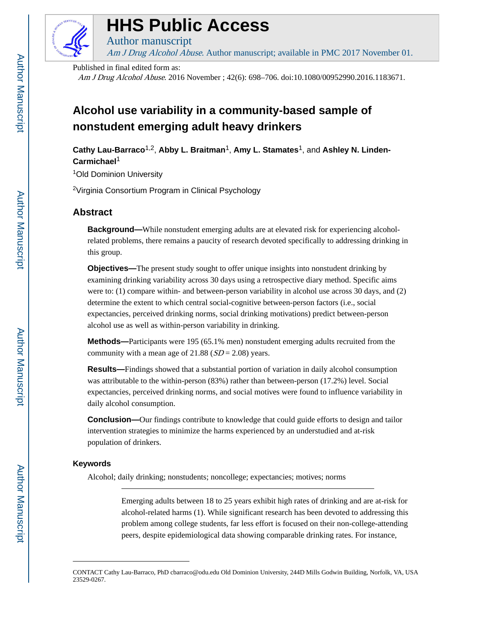

# **HHS Public Access**

Author manuscript Am J Drug Alcohol Abuse. Author manuscript; available in PMC 2017 November 01.

Published in final edited form as:

Am J Drug Alcohol Abuse. 2016 November ; 42(6): 698–706. doi:10.1080/00952990.2016.1183671.

## **Alcohol use variability in a community-based sample of nonstudent emerging adult heavy drinkers**

Cathy Lau-Barraco<sup>1,2</sup>, Abby L. Braitman<sup>1</sup>, Amy L. Stamates<sup>1</sup>, and Ashley N. Linden-**Carmichael**<sup>1</sup>

<sup>1</sup>Old Dominion University

<sup>2</sup>Virginia Consortium Program in Clinical Psychology

#### **Abstract**

**Background—**While nonstudent emerging adults are at elevated risk for experiencing alcoholrelated problems, there remains a paucity of research devoted specifically to addressing drinking in this group.

**Objectives—**The present study sought to offer unique insights into nonstudent drinking by examining drinking variability across 30 days using a retrospective diary method. Specific aims were to: (1) compare within- and between-person variability in alcohol use across 30 days, and (2) determine the extent to which central social-cognitive between-person factors (i.e., social expectancies, perceived drinking norms, social drinking motivations) predict between-person alcohol use as well as within-person variability in drinking.

**Methods—**Participants were 195 (65.1% men) nonstudent emerging adults recruited from the community with a mean age of  $21.88$  ( $SD = 2.08$ ) years.

**Results—**Findings showed that a substantial portion of variation in daily alcohol consumption was attributable to the within-person (83%) rather than between-person (17.2%) level. Social expectancies, perceived drinking norms, and social motives were found to influence variability in daily alcohol consumption.

**Conclusion—**Our findings contribute to knowledge that could guide efforts to design and tailor intervention strategies to minimize the harms experienced by an understudied and at-risk population of drinkers.

#### **Keywords**

Alcohol; daily drinking; nonstudents; noncollege; expectancies; motives; norms

Emerging adults between 18 to 25 years exhibit high rates of drinking and are at-risk for alcohol-related harms (1). While significant research has been devoted to addressing this problem among college students, far less effort is focused on their non-college-attending peers, despite epidemiological data showing comparable drinking rates. For instance,

CONTACT Cathy Lau-Barraco, PhD cbarraco@odu.edu Old Dominion University, 244D Mills Godwin Building, Norfolk, VA, USA 23529-0267.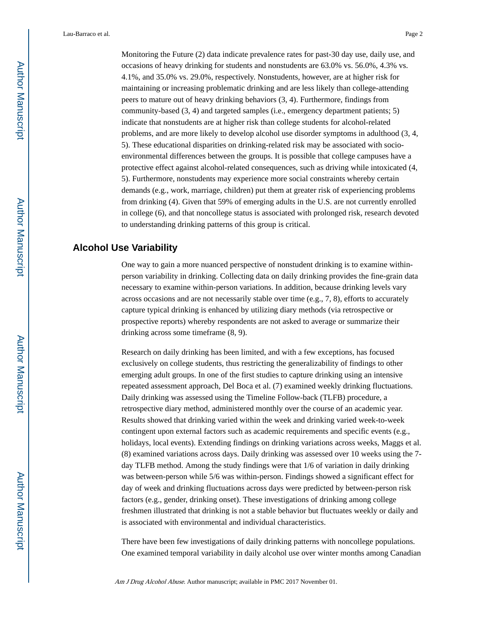Monitoring the Future (2) data indicate prevalence rates for past-30 day use, daily use, and occasions of heavy drinking for students and nonstudents are 63.0% vs. 56.0%, 4.3% vs. 4.1%, and 35.0% vs. 29.0%, respectively. Nonstudents, however, are at higher risk for maintaining or increasing problematic drinking and are less likely than college-attending peers to mature out of heavy drinking behaviors (3, 4). Furthermore, findings from community-based (3, 4) and targeted samples (i.e., emergency department patients; 5) indicate that nonstudents are at higher risk than college students for alcohol-related problems, and are more likely to develop alcohol use disorder symptoms in adulthood (3, 4, 5). These educational disparities on drinking-related risk may be associated with socioenvironmental differences between the groups. It is possible that college campuses have a protective effect against alcohol-related consequences, such as driving while intoxicated (4, 5). Furthermore, nonstudents may experience more social constraints whereby certain demands (e.g., work, marriage, children) put them at greater risk of experiencing problems from drinking (4). Given that 59% of emerging adults in the U.S. are not currently enrolled in college (6), and that noncollege status is associated with prolonged risk, research devoted to understanding drinking patterns of this group is critical.

#### **Alcohol Use Variability**

One way to gain a more nuanced perspective of nonstudent drinking is to examine withinperson variability in drinking. Collecting data on daily drinking provides the fine-grain data necessary to examine within-person variations. In addition, because drinking levels vary across occasions and are not necessarily stable over time (e.g., 7, 8), efforts to accurately capture typical drinking is enhanced by utilizing diary methods (via retrospective or prospective reports) whereby respondents are not asked to average or summarize their drinking across some timeframe (8, 9).

Research on daily drinking has been limited, and with a few exceptions, has focused exclusively on college students, thus restricting the generalizability of findings to other emerging adult groups. In one of the first studies to capture drinking using an intensive repeated assessment approach, Del Boca et al. (7) examined weekly drinking fluctuations. Daily drinking was assessed using the Timeline Follow-back (TLFB) procedure, a retrospective diary method, administered monthly over the course of an academic year. Results showed that drinking varied within the week and drinking varied week-to-week contingent upon external factors such as academic requirements and specific events (e.g., holidays, local events). Extending findings on drinking variations across weeks, Maggs et al. (8) examined variations across days. Daily drinking was assessed over 10 weeks using the 7 day TLFB method. Among the study findings were that 1/6 of variation in daily drinking was between-person while 5/6 was within-person. Findings showed a significant effect for day of week and drinking fluctuations across days were predicted by between-person risk factors (e.g., gender, drinking onset). These investigations of drinking among college freshmen illustrated that drinking is not a stable behavior but fluctuates weekly or daily and is associated with environmental and individual characteristics.

There have been few investigations of daily drinking patterns with noncollege populations. One examined temporal variability in daily alcohol use over winter months among Canadian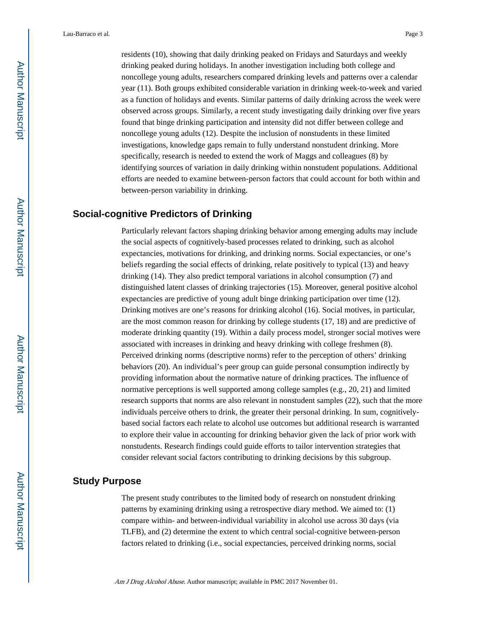residents (10), showing that daily drinking peaked on Fridays and Saturdays and weekly drinking peaked during holidays. In another investigation including both college and noncollege young adults, researchers compared drinking levels and patterns over a calendar year (11). Both groups exhibited considerable variation in drinking week-to-week and varied as a function of holidays and events. Similar patterns of daily drinking across the week were observed across groups. Similarly, a recent study investigating daily drinking over five years found that binge drinking participation and intensity did not differ between college and noncollege young adults (12). Despite the inclusion of nonstudents in these limited investigations, knowledge gaps remain to fully understand nonstudent drinking. More specifically, research is needed to extend the work of Maggs and colleagues (8) by identifying sources of variation in daily drinking within nonstudent populations. Additional efforts are needed to examine between-person factors that could account for both within and between-person variability in drinking.

#### **Social-cognitive Predictors of Drinking**

Particularly relevant factors shaping drinking behavior among emerging adults may include the social aspects of cognitively-based processes related to drinking, such as alcohol expectancies, motivations for drinking, and drinking norms. Social expectancies, or one's beliefs regarding the social effects of drinking, relate positively to typical (13) and heavy drinking (14). They also predict temporal variations in alcohol consumption (7) and distinguished latent classes of drinking trajectories (15). Moreover, general positive alcohol expectancies are predictive of young adult binge drinking participation over time (12). Drinking motives are one's reasons for drinking alcohol (16). Social motives, in particular, are the most common reason for drinking by college students (17, 18) and are predictive of moderate drinking quantity (19). Within a daily process model, stronger social motives were associated with increases in drinking and heavy drinking with college freshmen (8). Perceived drinking norms (descriptive norms) refer to the perception of others' drinking behaviors (20). An individual's peer group can guide personal consumption indirectly by providing information about the normative nature of drinking practices. The influence of normative perceptions is well supported among college samples (e.g., 20, 21) and limited research supports that norms are also relevant in nonstudent samples (22), such that the more individuals perceive others to drink, the greater their personal drinking. In sum, cognitivelybased social factors each relate to alcohol use outcomes but additional research is warranted to explore their value in accounting for drinking behavior given the lack of prior work with nonstudents. Research findings could guide efforts to tailor intervention strategies that consider relevant social factors contributing to drinking decisions by this subgroup.

#### **Study Purpose**

The present study contributes to the limited body of research on nonstudent drinking patterns by examining drinking using a retrospective diary method. We aimed to: (1) compare within- and between-individual variability in alcohol use across 30 days (via TLFB), and (2) determine the extent to which central social-cognitive between-person factors related to drinking (i.e., social expectancies, perceived drinking norms, social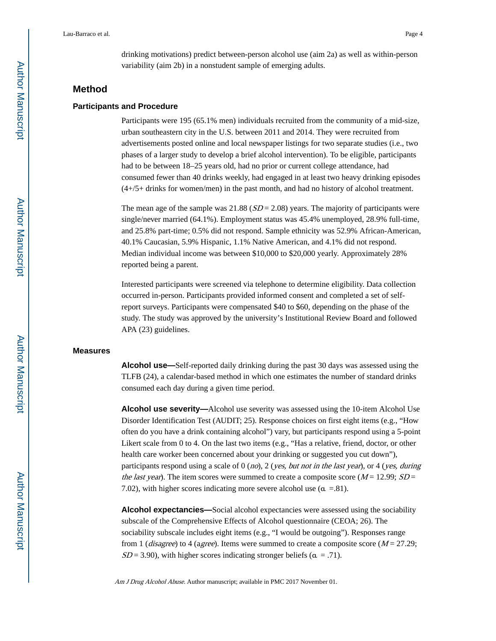drinking motivations) predict between-person alcohol use (aim 2a) as well as within-person variability (aim 2b) in a nonstudent sample of emerging adults.

#### **Method**

#### **Participants and Procedure**

Participants were 195 (65.1% men) individuals recruited from the community of a mid-size, urban southeastern city in the U.S. between 2011 and 2014. They were recruited from advertisements posted online and local newspaper listings for two separate studies (i.e., two phases of a larger study to develop a brief alcohol intervention). To be eligible, participants had to be between  $18-25$  years old, had no prior or current college attendance, had consumed fewer than 40 drinks weekly, had engaged in at least two heavy drinking episodes (4+/5+ drinks for women/men) in the past month, and had no history of alcohol treatment.

The mean age of the sample was  $21.88$  ( $SD = 2.08$ ) years. The majority of participants were single/never married (64.1%). Employment status was 45.4% unemployed, 28.9% full-time, and 25.8% part-time; 0.5% did not respond. Sample ethnicity was 52.9% African-American, 40.1% Caucasian, 5.9% Hispanic, 1.1% Native American, and 4.1% did not respond. Median individual income was between \$10,000 to \$20,000 yearly. Approximately 28% reported being a parent.

Interested participants were screened via telephone to determine eligibility. Data collection occurred in-person. Participants provided informed consent and completed a set of selfreport surveys. Participants were compensated \$40 to \$60, depending on the phase of the study. The study was approved by the university's Institutional Review Board and followed APA (23) guidelines.

#### **Measures**

**Alcohol use—**Self-reported daily drinking during the past 30 days was assessed using the TLFB (24), a calendar-based method in which one estimates the number of standard drinks consumed each day during a given time period.

**Alcohol use severity—**Alcohol use severity was assessed using the 10-item Alcohol Use Disorder Identification Test (AUDIT; 25). Response choices on first eight items (e.g., "How often do you have a drink containing alcohol") vary, but participants respond using a 5-point Likert scale from 0 to 4. On the last two items (e.g., "Has a relative, friend, doctor, or other health care worker been concerned about your drinking or suggested you cut down"), participants respond using a scale of  $0 \ (no)$ ,  $2 \ (yes, but not in the last year)$ , or  $4 \ (yes, during$ the last year). The item scores were summed to create a composite score ( $M = 12.99$ ;  $SD =$ 7.02), with higher scores indicating more severe alcohol use  $(\alpha = .81)$ .

**Alcohol expectancies—**Social alcohol expectancies were assessed using the sociability subscale of the Comprehensive Effects of Alcohol questionnaire (CEOA; 26). The sociability subscale includes eight items (e.g., "I would be outgoing"). Responses range from 1 (*disagree*) to 4 (a*gree*). Items were summed to create a composite score ( $M = 27.29$ ;  $SD = 3.90$ , with higher scores indicating stronger beliefs ( $\alpha = .71$ ).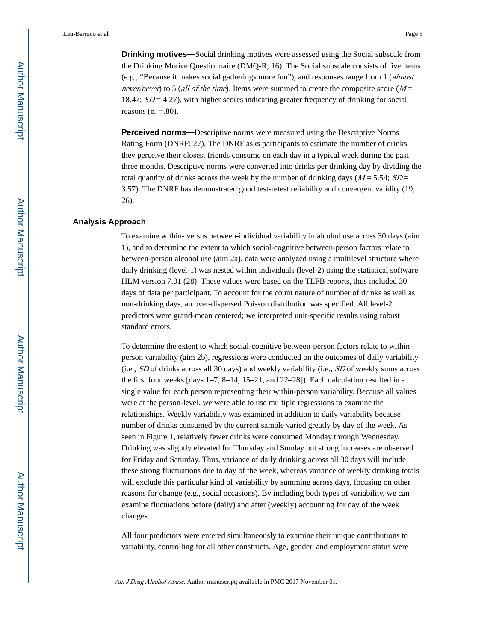**Drinking motives—**Social drinking motives were assessed using the Social subscale from the Drinking Motive Questionnaire (DMQ-R; 16). The Social subscale consists of five items (e.g., "Because it makes social gatherings more fun"), and responses range from 1 (almost never/never) to 5 (all of the time). Items were summed to create the composite score ( $M =$ 18.47;  $SD = 4.27$ ), with higher scores indicating greater frequency of drinking for social reasons ( $\alpha$  =.80).

**Perceived norms—**Descriptive norms were measured using the Descriptive Norms Rating Form (DNRF; 27). The DNRF asks participants to estimate the number of drinks they perceive their closest friends consume on each day in a typical week during the past three months. Descriptive norms were converted into drinks per drinking day by dividing the total quantity of drinks across the week by the number of drinking days ( $M = 5.54$ ;  $SD =$ 3.57). The DNRF has demonstrated good test-retest reliability and convergent validity (19, 26).

#### **Analysis Approach**

To examine within- versus between-individual variability in alcohol use across 30 days (aim 1), and to determine the extent to which social-cognitive between-person factors relate to between-person alcohol use (aim 2a), data were analyzed using a multilevel structure where daily drinking (level-1) was nested within individuals (level-2) using the statistical software HLM version 7.01 (28). These values were based on the TLFB reports, thus included 30 days of data per participant. To account for the count nature of number of drinks as well as non-drinking days, an over-dispersed Poisson distribution was specified. All level-2 predictors were grand-mean centered; we interpreted unit-specific results using robust standard errors.

To determine the extent to which social-cognitive between-person factors relate to withinperson variability (aim 2b), regressions were conducted on the outcomes of daily variability (i.e., SD of drinks across all 30 days) and weekly variability (i.e., SD of weekly sums across the first four weeks [days 1–7, 8–14, 15–21, and 22–28]). Each calculation resulted in a single value for each person representing their within-person variability. Because all values were at the person-level, we were able to use multiple regressions to examine the relationships. Weekly variability was examined in addition to daily variability because number of drinks consumed by the current sample varied greatly by day of the week. As seen in Figure 1, relatively fewer drinks were consumed Monday through Wednesday. Drinking was slightly elevated for Thursday and Sunday but strong increases are observed for Friday and Saturday. Thus, variance of daily drinking across all 30 days will include these strong fluctuations due to day of the week, whereas variance of weekly drinking totals will exclude this particular kind of variability by summing across days, focusing on other reasons for change (e.g., social occasions). By including both types of variability, we can examine fluctuations before (daily) and after (weekly) accounting for day of the week changes.

All four predictors were entered simultaneously to examine their unique contributions to variability, controlling for all other constructs. Age, gender, and employment status were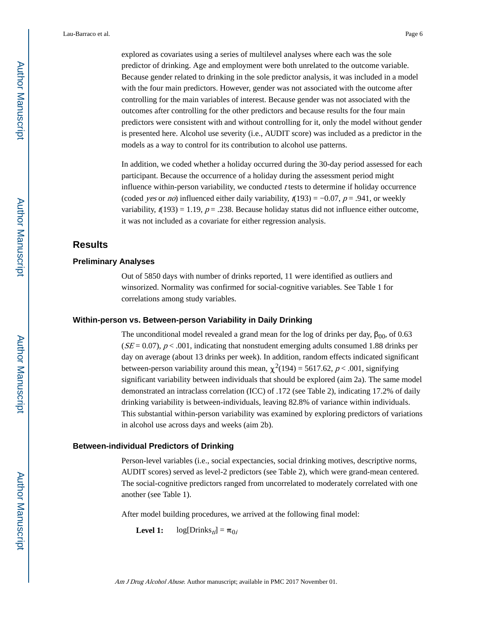explored as covariates using a series of multilevel analyses where each was the sole predictor of drinking. Age and employment were both unrelated to the outcome variable. Because gender related to drinking in the sole predictor analysis, it was included in a model with the four main predictors. However, gender was not associated with the outcome after controlling for the main variables of interest. Because gender was not associated with the outcomes after controlling for the other predictors and because results for the four main predictors were consistent with and without controlling for it, only the model without gender is presented here. Alcohol use severity (i.e., AUDIT score) was included as a predictor in the models as a way to control for its contribution to alcohol use patterns.

In addition, we coded whether a holiday occurred during the 30-day period assessed for each participant. Because the occurrence of a holiday during the assessment period might influence within-person variability, we conducted  $t$  tests to determine if holiday occurrence (coded *yes* or *no*) influenced either daily variability,  $t(193) = -0.07$ ,  $p = .941$ , or weekly variability,  $t(193) = 1.19$ ,  $p = .238$ . Because holiday status did not influence either outcome, it was not included as a covariate for either regression analysis.

#### **Results**

#### **Preliminary Analyses**

Out of 5850 days with number of drinks reported, 11 were identified as outliers and winsorized. Normality was confirmed for social-cognitive variables. See Table 1 for correlations among study variables.

#### **Within-person vs. Between-person Variability in Daily Drinking**

The unconditional model revealed a grand mean for the log of drinks per day,  $\beta_{00}$ , of 0.63  $(SE = 0.07)$ ,  $p < .001$ , indicating that nonstudent emerging adults consumed 1.88 drinks per day on average (about 13 drinks per week). In addition, random effects indicated significant between-person variability around this mean,  $\chi^2(194) = 5617.62$ ,  $p < .001$ , signifying significant variability between individuals that should be explored (aim 2a). The same model demonstrated an intraclass correlation (ICC) of .172 (see Table 2), indicating 17.2% of daily drinking variability is between-individuals, leaving 82.8% of variance within individuals. This substantial within-person variability was examined by exploring predictors of variations in alcohol use across days and weeks (aim 2b).

#### **Between-individual Predictors of Drinking**

Person-level variables (i.e., social expectancies, social drinking motives, descriptive norms, AUDIT scores) served as level-2 predictors (see Table 2), which were grand-mean centered. The social-cognitive predictors ranged from uncorrelated to moderately correlated with one another (see Table 1).

After model building procedures, we arrived at the following final model:

**Level 1:**  $log[Drinks_{ti}] = \pi_{0i}$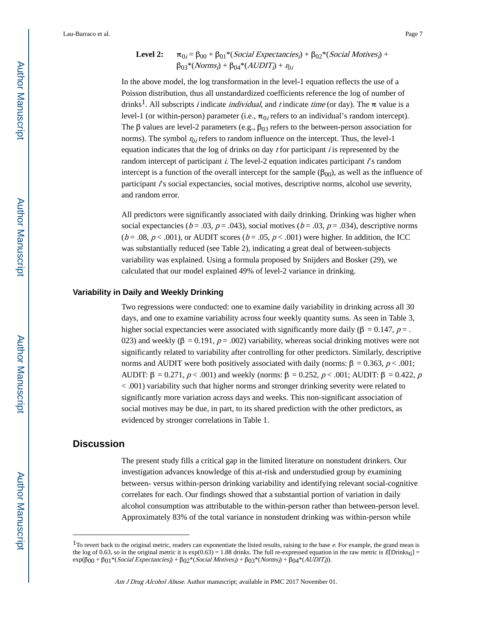#### Level 2:  $\beta_0 = \beta_{00} + \beta_{01} * (Social\, {Expectancies}_i) + \beta_{02} * (Social\,~Motives_i) +$  $β_{03}*(Norms_i) + β_{04}*(AUDIT_i) + r_{0i}$

In the above model, the log transformation in the level-1 equation reflects the use of a Poisson distribution, thus all unstandardized coefficients reference the log of number of drinks<sup>1</sup>. All subscripts *i* indicate *individual*, and *t* indicate time (or day). The  $\pi$  value is a level-1 (or within-person) parameter (i.e.,  $\pi_{0i}$  refers to an individual's random intercept). The  $\beta$  values are level-2 parameters (e.g.,  $\beta_{03}$  refers to the between-person association for norms). The symbol  $r_{0i}$  refers to random influence on the intercept. Thus, the level-1 equation indicates that the log of drinks on day  $t$  for participant is represented by the random intercept of participant  $\vec{l}$ . The level-2 equation indicates participant  $\vec{l}$ 's random intercept is a function of the overall intercept for the sample  $(\beta_{00})$ , as well as the influence of participant  $\hat{I}$ 's social expectancies, social motives, descriptive norms, alcohol use severity, and random error.

All predictors were significantly associated with daily drinking. Drinking was higher when social expectancies ( $b = .03$ ,  $p = .043$ ), social motives ( $b = .03$ ,  $p = .034$ ), descriptive norms  $(b = .08, p < .001)$ , or AUDIT scores  $(b = .05, p < .001)$  were higher. In addition, the ICC was substantially reduced (see Table 2), indicating a great deal of between-subjects variability was explained. Using a formula proposed by Snijders and Bosker (29), we calculated that our model explained 49% of level-2 variance in drinking.

#### **Variability in Daily and Weekly Drinking**

Two regressions were conducted: one to examine daily variability in drinking across all 30 days, and one to examine variability across four weekly quantity sums. As seen in Table 3, higher social expectancies were associated with significantly more daily ( $\beta = 0.147$ ,  $p =$ . 023) and weekly ( $\beta = 0.191$ ,  $p = .002$ ) variability, whereas social drinking motives were not significantly related to variability after controlling for other predictors. Similarly, descriptive norms and AUDIT were both positively associated with daily (norms: β = 0.363,  $p < .001$ ; AUDIT:  $\beta = 0.271$ ,  $p < .001$ ) and weekly (norms:  $\beta = 0.252$ ,  $p < .001$ ; AUDIT:  $\beta = 0.422$ , p < .001) variability such that higher norms and stronger drinking severity were related to significantly more variation across days and weeks. This non-significant association of social motives may be due, in part, to its shared prediction with the other predictors, as evidenced by stronger correlations in Table 1.

#### **Discussion**

The present study fills a critical gap in the limited literature on nonstudent drinkers. Our investigation advances knowledge of this at-risk and understudied group by examining between- versus within-person drinking variability and identifying relevant social-cognitive correlates for each. Our findings showed that a substantial portion of variation in daily alcohol consumption was attributable to the within-person rather than between-person level. Approximately 83% of the total variance in nonstudent drinking was within-person while

 $1$ To revert back to the original metric, readers can exponentiate the listed results, raising to the base  $e$ . For example, the grand mean is the log of 0.63, so in the original metric it is  $\exp(0.63) = 1.88$  drinks. The full re-expressed equation in the raw metric is  $E[D\text{triks}_{tl}]$  $\exp(\beta_{00} + \beta_{01} * (Social\,Expectancies_j) + \beta_{02} * (Social\,Motives_j) + \beta_{03} * (Norms_j) + \beta_{04} * (AUDIT_j)).$ 

Am J Drug Alcohol Abuse. Author manuscript; available in PMC 2017 November 01.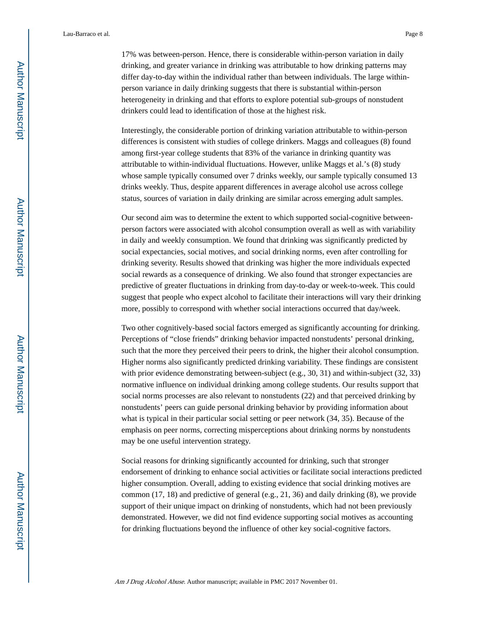17% was between-person. Hence, there is considerable within-person variation in daily drinking, and greater variance in drinking was attributable to how drinking patterns may differ day-to-day within the individual rather than between individuals. The large withinperson variance in daily drinking suggests that there is substantial within-person heterogeneity in drinking and that efforts to explore potential sub-groups of nonstudent drinkers could lead to identification of those at the highest risk.

Interestingly, the considerable portion of drinking variation attributable to within-person differences is consistent with studies of college drinkers. Maggs and colleagues (8) found among first-year college students that 83% of the variance in drinking quantity was attributable to within-individual fluctuations. However, unlike Maggs et al.'s (8) study whose sample typically consumed over 7 drinks weekly, our sample typically consumed 13 drinks weekly. Thus, despite apparent differences in average alcohol use across college status, sources of variation in daily drinking are similar across emerging adult samples.

Our second aim was to determine the extent to which supported social-cognitive betweenperson factors were associated with alcohol consumption overall as well as with variability in daily and weekly consumption. We found that drinking was significantly predicted by social expectancies, social motives, and social drinking norms, even after controlling for drinking severity. Results showed that drinking was higher the more individuals expected social rewards as a consequence of drinking. We also found that stronger expectancies are predictive of greater fluctuations in drinking from day-to-day or week-to-week. This could suggest that people who expect alcohol to facilitate their interactions will vary their drinking more, possibly to correspond with whether social interactions occurred that day/week.

Two other cognitively-based social factors emerged as significantly accounting for drinking. Perceptions of "close friends" drinking behavior impacted nonstudents' personal drinking, such that the more they perceived their peers to drink, the higher their alcohol consumption. Higher norms also significantly predicted drinking variability. These findings are consistent with prior evidence demonstrating between-subject (e.g., 30, 31) and within-subject (32, 33) normative influence on individual drinking among college students. Our results support that social norms processes are also relevant to nonstudents (22) and that perceived drinking by nonstudents' peers can guide personal drinking behavior by providing information about what is typical in their particular social setting or peer network (34, 35). Because of the emphasis on peer norms, correcting misperceptions about drinking norms by nonstudents may be one useful intervention strategy.

Social reasons for drinking significantly accounted for drinking, such that stronger endorsement of drinking to enhance social activities or facilitate social interactions predicted higher consumption. Overall, adding to existing evidence that social drinking motives are common (17, 18) and predictive of general (e.g., 21, 36) and daily drinking (8), we provide support of their unique impact on drinking of nonstudents, which had not been previously demonstrated. However, we did not find evidence supporting social motives as accounting for drinking fluctuations beyond the influence of other key social-cognitive factors.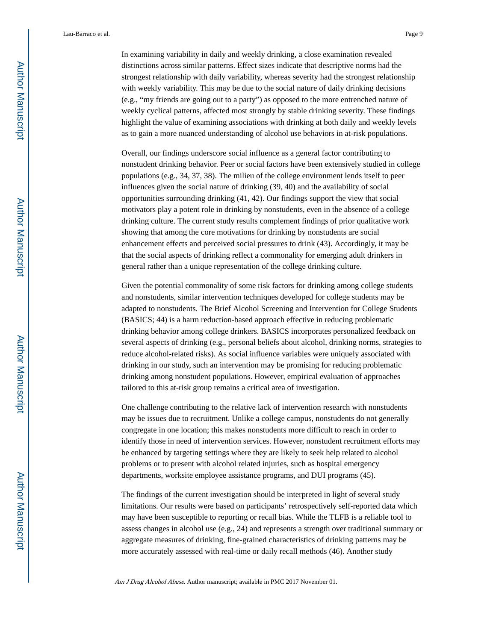In examining variability in daily and weekly drinking, a close examination revealed distinctions across similar patterns. Effect sizes indicate that descriptive norms had the strongest relationship with daily variability, whereas severity had the strongest relationship with weekly variability. This may be due to the social nature of daily drinking decisions (e.g., "my friends are going out to a party") as opposed to the more entrenched nature of weekly cyclical patterns, affected most strongly by stable drinking severity. These findings highlight the value of examining associations with drinking at both daily and weekly levels as to gain a more nuanced understanding of alcohol use behaviors in at-risk populations.

Overall, our findings underscore social influence as a general factor contributing to nonstudent drinking behavior. Peer or social factors have been extensively studied in college populations (e.g., 34, 37, 38). The milieu of the college environment lends itself to peer influences given the social nature of drinking (39, 40) and the availability of social opportunities surrounding drinking (41, 42). Our findings support the view that social motivators play a potent role in drinking by nonstudents, even in the absence of a college drinking culture. The current study results complement findings of prior qualitative work showing that among the core motivations for drinking by nonstudents are social enhancement effects and perceived social pressures to drink (43). Accordingly, it may be that the social aspects of drinking reflect a commonality for emerging adult drinkers in general rather than a unique representation of the college drinking culture.

Given the potential commonality of some risk factors for drinking among college students and nonstudents, similar intervention techniques developed for college students may be adapted to nonstudents. The Brief Alcohol Screening and Intervention for College Students (BASICS; 44) is a harm reduction-based approach effective in reducing problematic drinking behavior among college drinkers. BASICS incorporates personalized feedback on several aspects of drinking (e.g., personal beliefs about alcohol, drinking norms, strategies to reduce alcohol-related risks). As social influence variables were uniquely associated with drinking in our study, such an intervention may be promising for reducing problematic drinking among nonstudent populations. However, empirical evaluation of approaches tailored to this at-risk group remains a critical area of investigation.

One challenge contributing to the relative lack of intervention research with nonstudents may be issues due to recruitment. Unlike a college campus, nonstudents do not generally congregate in one location; this makes nonstudents more difficult to reach in order to identify those in need of intervention services. However, nonstudent recruitment efforts may be enhanced by targeting settings where they are likely to seek help related to alcohol problems or to present with alcohol related injuries, such as hospital emergency departments, worksite employee assistance programs, and DUI programs (45).

The findings of the current investigation should be interpreted in light of several study limitations. Our results were based on participants' retrospectively self-reported data which may have been susceptible to reporting or recall bias. While the TLFB is a reliable tool to assess changes in alcohol use (e.g., 24) and represents a strength over traditional summary or aggregate measures of drinking, fine-grained characteristics of drinking patterns may be more accurately assessed with real-time or daily recall methods (46). Another study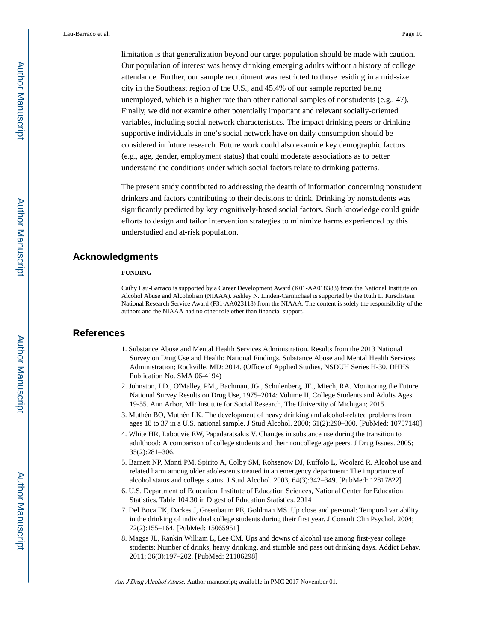limitation is that generalization beyond our target population should be made with caution. Our population of interest was heavy drinking emerging adults without a history of college attendance. Further, our sample recruitment was restricted to those residing in a mid-size city in the Southeast region of the U.S., and 45.4% of our sample reported being unemployed, which is a higher rate than other national samples of nonstudents (e.g., 47). Finally, we did not examine other potentially important and relevant socially-oriented variables, including social network characteristics. The impact drinking peers or drinking supportive individuals in one's social network have on daily consumption should be considered in future research. Future work could also examine key demographic factors (e.g., age, gender, employment status) that could moderate associations as to better understand the conditions under which social factors relate to drinking patterns.

The present study contributed to addressing the dearth of information concerning nonstudent drinkers and factors contributing to their decisions to drink. Drinking by nonstudents was significantly predicted by key cognitively-based social factors. Such knowledge could guide efforts to design and tailor intervention strategies to minimize harms experienced by this understudied and at-risk population.

#### **Acknowledgments**

#### **FUNDING**

Cathy Lau-Barraco is supported by a Career Development Award (K01-AA018383) from the National Institute on Alcohol Abuse and Alcoholism (NIAAA). Ashley N. Linden-Carmichael is supported by the Ruth L. Kirschstein National Research Service Award (F31-AA023118) from the NIAAA. The content is solely the responsibility of the authors and the NIAAA had no other role other than financial support.

#### **References**

- 1. Substance Abuse and Mental Health Services Administration. Results from the 2013 National Survey on Drug Use and Health: National Findings. Substance Abuse and Mental Health Services Administration; Rockville, MD: 2014. (Office of Applied Studies, NSDUH Series H-30, DHHS Publication No. SMA 06-4194)
- 2. Johnston, LD., O'Malley, PM., Bachman, JG., Schulenberg, JE., Miech, RA. Monitoring the Future National Survey Results on Drug Use, 1975–2014: Volume II, College Students and Adults Ages 19-55. Ann Arbor, MI: Institute for Social Research, The University of Michigan; 2015.
- 3. Muthén BO, Muthén LK. The development of heavy drinking and alcohol-related problems from ages 18 to 37 in a U.S. national sample. J Stud Alcohol. 2000; 61(2):290–300. [PubMed: 10757140]
- 4. White HR, Labouvie EW, Papadaratsakis V. Changes in substance use during the transition to adulthood: A comparison of college students and their noncollege age peers. J Drug Issues. 2005; 35(2):281–306.
- 5. Barnett NP, Monti PM, Spirito A, Colby SM, Rohsenow DJ, Ruffolo L, Woolard R. Alcohol use and related harm among older adolescents treated in an emergency department: The importance of alcohol status and college status. J Stud Alcohol. 2003; 64(3):342–349. [PubMed: 12817822]
- 6. U.S. Department of Education. Institute of Education Sciences, National Center for Education Statistics. Table 104.30 in Digest of Education Statistics. 2014
- 7. Del Boca FK, Darkes J, Greenbaum PE, Goldman MS. Up close and personal: Temporal variability in the drinking of individual college students during their first year. J Consult Clin Psychol. 2004; 72(2):155–164. [PubMed: 15065951]
- 8. Maggs JL, Rankin William L, Lee CM. Ups and downs of alcohol use among first-year college students: Number of drinks, heavy drinking, and stumble and pass out drinking days. Addict Behav. 2011; 36(3):197–202. [PubMed: 21106298]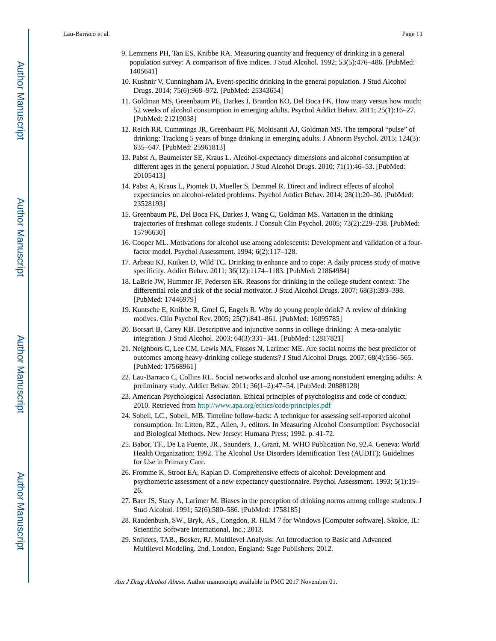- 9. Lemmens PH, Tan ES, Knibbe RA. Measuring quantity and frequency of drinking in a general population survey: A comparison of five indices. J Stud Alcohol. 1992; 53(5):476–486. [PubMed: 1405641]
- 10. Kushnir V, Cunningham JA. Event-specific drinking in the general population. J Stud Alcohol Drugs. 2014; 75(6):968–972. [PubMed: 25343654]
- 11. Goldman MS, Greenbaum PE, Darkes J, Brandon KO, Del Boca FK. How many versus how much: 52 weeks of alcohol consumption in emerging adults. Psychol Addict Behav. 2011; 25(1):16–27. [PubMed: 21219038]
- 12. Reich RR, Cummings JR, Greenbaum PE, Moltisanti AJ, Goldman MS. The temporal "pulse" of drinking: Tracking 5 years of binge drinking in emerging adults. J Abnorm Psychol. 2015; 124(3): 635–647. [PubMed: 25961813]
- 13. Pabst A, Baumeister SE, Kraus L. Alcohol-expectancy dimensions and alcohol consumption at different ages in the general population. J Stud Alcohol Drugs. 2010; 71(1):46–53. [PubMed: 20105413]
- 14. Pabst A, Kraus L, Piontek D, Mueller S, Demmel R. Direct and indirect effects of alcohol expectancies on alcohol-related problems. Psychol Addict Behav. 2014; 28(1):20–30. [PubMed: 23528193]
- 15. Greenbaum PE, Del Boca FK, Darkes J, Wang C, Goldman MS. Variation in the drinking trajectories of freshman college students. J Consult Clin Psychol. 2005; 73(2):229–238. [PubMed: 15796630]
- 16. Cooper ML. Motivations for alcohol use among adolescents: Development and validation of a fourfactor model. Psychol Assessment. 1994; 6(2):117–128.
- 17. Arbeau KJ, Kuiken D, Wild TC. Drinking to enhance and to cope: A daily process study of motive specificity. Addict Behav. 2011; 36(12):1174–1183. [PubMed: 21864984]
- 18. LaBrie JW, Hummer JF, Pedersen ER. Reasons for drinking in the college student context: The differential role and risk of the social motivator. J Stud Alcohol Drugs. 2007; 68(3):393–398. [PubMed: 17446979]
- 19. Kuntsche E, Knibbe R, Gmel G, Engels R. Why do young people drink? A review of drinking motives. Clin Psychol Rev. 2005; 25(7):841–861. [PubMed: 16095785]
- 20. Borsari B, Carey KB. Descriptive and injunctive norms in college drinking: A meta-analytic integration. J Stud Alcohol. 2003; 64(3):331–341. [PubMed: 12817821]
- 21. Neighbors C, Lee CM, Lewis MA, Fossos N, Larimer ME. Are social norms the best predictor of outcomes among heavy-drinking college students? J Stud Alcohol Drugs. 2007; 68(4):556–565. [PubMed: 17568961]
- 22. Lau-Barraco C, Collins RL. Social networks and alcohol use among nonstudent emerging adults: A preliminary study. Addict Behav. 2011; 36(1–2):47–54. [PubMed: 20888128]
- 23. American Psychological Association. Ethical principles of psychologists and code of conduct. 2010. Retrieved from<http://www.apa.org/ethics/code/principles.pdf>
- 24. Sobell, LC., Sobell, MB. Timeline follow-back: A technique for assessing self-reported alcohol consumption. In: Litten, RZ., Allen, J., editors. In Measuring Alcohol Consumption: Psychosocial and Biological Methods. New Jersey: Humana Press; 1992. p. 41-72.
- 25. Babor, TF., De La Fuente, JR., Saunders, J., Grant, M. WHO Publication No. 92.4. Geneva: World Health Organization; 1992. The Alcohol Use Disorders Identification Test (AUDIT): Guidelines for Use in Primary Care.
- 26. Fromme K, Stroot EA, Kaplan D. Comprehensive effects of alcohol: Development and psychometric assessment of a new expectancy questionnaire. Psychol Assessment. 1993; 5(1):19– 26.
- 27. Baer JS, Stacy A, Larimer M. Biases in the perception of drinking norms among college students. J Stud Alcohol. 1991; 52(6):580–586. [PubMed: 1758185]
- 28. Raudenbush, SW., Bryk, AS., Congdon, R. HLM 7 for Windows [Computer software]. Skokie, IL: Scientific Software International, Inc.; 2013.
- 29. Snijders, TAB., Bosker, RJ. Multilevel Analysis: An Introduction to Basic and Advanced Multilevel Modeling. 2nd. London, England: Sage Publishers; 2012.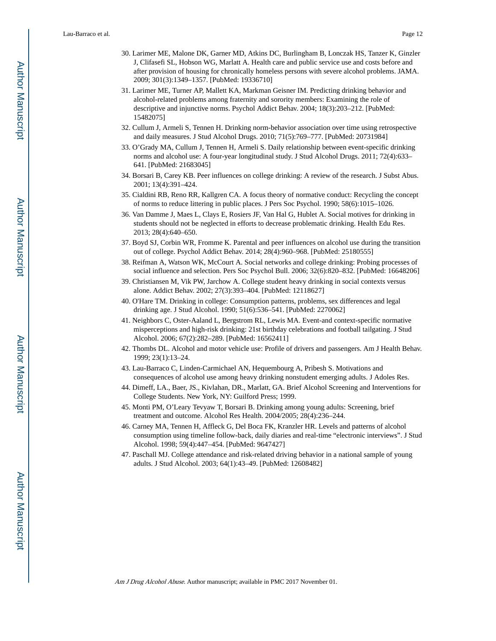- 30. Larimer ME, Malone DK, Garner MD, Atkins DC, Burlingham B, Lonczak HS, Tanzer K, Ginzler J, Clifasefi SL, Hobson WG, Marlatt A. Health care and public service use and costs before and after provision of housing for chronically homeless persons with severe alcohol problems. JAMA. 2009; 301(3):1349–1357. [PubMed: 19336710]
- 31. Larimer ME, Turner AP, Mallett KA, Markman Geisner IM. Predicting drinking behavior and alcohol-related problems among fraternity and sorority members: Examining the role of descriptive and injunctive norms. Psychol Addict Behav. 2004; 18(3):203–212. [PubMed: 15482075]
- 32. Cullum J, Armeli S, Tennen H. Drinking norm-behavior association over time using retrospective and daily measures. J Stud Alcohol Drugs. 2010; 71(5):769–777. [PubMed: 20731984]
- 33. O'Grady MA, Cullum J, Tennen H, Armeli S. Daily relationship between event-specific drinking norms and alcohol use: A four-year longitudinal study. J Stud Alcohol Drugs. 2011; 72(4):633– 641. [PubMed: 21683045]
- 34. Borsari B, Carey KB. Peer influences on college drinking: A review of the research. J Subst Abus. 2001; 13(4):391–424.
- 35. Cialdini RB, Reno RR, Kallgren CA. A focus theory of normative conduct: Recycling the concept of norms to reduce littering in public places. J Pers Soc Psychol. 1990; 58(6):1015–1026.
- 36. Van Damme J, Maes L, Clays E, Rosiers JF, Van Hal G, Hublet A. Social motives for drinking in students should not be neglected in efforts to decrease problematic drinking. Health Edu Res. 2013; 28(4):640–650.
- 37. Boyd SJ, Corbin WR, Fromme K. Parental and peer influences on alcohol use during the transition out of college. Psychol Addict Behav. 2014; 28(4):960–968. [PubMed: 25180555]
- 38. Reifman A, Watson WK, McCourt A. Social networks and college drinking: Probing processes of social influence and selection. Pers Soc Psychol Bull. 2006; 32(6):820–832. [PubMed: 16648206]
- 39. Christiansen M, Vik PW, Jarchow A. College student heavy drinking in social contexts versus alone. Addict Behav. 2002; 27(3):393–404. [PubMed: 12118627]
- 40. O'Hare TM. Drinking in college: Consumption patterns, problems, sex differences and legal drinking age. J Stud Alcohol. 1990; 51(6):536–541. [PubMed: 2270062]
- 41. Neighbors C, Oster-Aaland L, Bergstrom RL, Lewis MA. Event-and context-specific normative misperceptions and high-risk drinking: 21st birthday celebrations and football tailgating. J Stud Alcohol. 2006; 67(2):282–289. [PubMed: 16562411]
- 42. Thombs DL. Alcohol and motor vehicle use: Profile of drivers and passengers. Am J Health Behav. 1999; 23(1):13–24.
- 43. Lau-Barraco C, Linden-Carmichael AN, Hequembourg A, Pribesh S. Motivations and consequences of alcohol use among heavy drinking nonstudent emerging adults. J Adoles Res.
- 44. Dimeff, LA., Baer, JS., Kivlahan, DR., Marlatt, GA. Brief Alcohol Screening and Interventions for College Students. New York, NY: Guilford Press; 1999.
- 45. Monti PM, O'Leary Tevyaw T, Borsari B. Drinking among young adults: Screening, brief treatment and outcome. Alcohol Res Health. 2004/2005; 28(4):236–244.
- 46. Carney MA, Tennen H, Affleck G, Del Boca FK, Kranzler HR. Levels and patterns of alcohol consumption using timeline follow-back, daily diaries and real-time "electronic interviews". J Stud Alcohol. 1998; 59(4):447–454. [PubMed: 9647427]
- 47. Paschall MJ. College attendance and risk-related driving behavior in a national sample of young adults. J Stud Alcohol. 2003; 64(1):43–49. [PubMed: 12608482]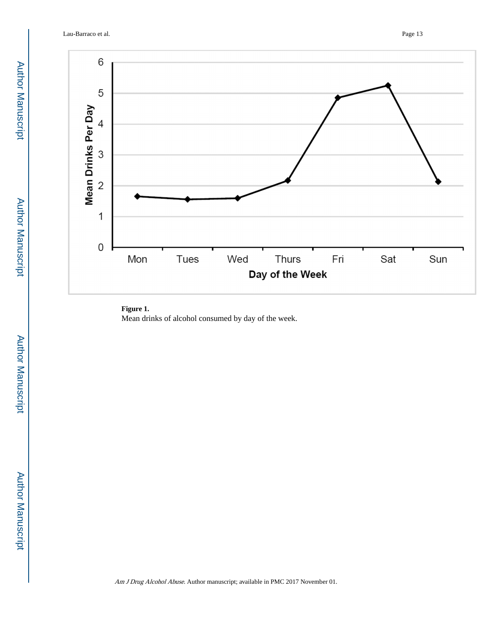Lau-Barraco et al. Page 13



#### **Figure 1.**

Mean drinks of alcohol consumed by day of the week.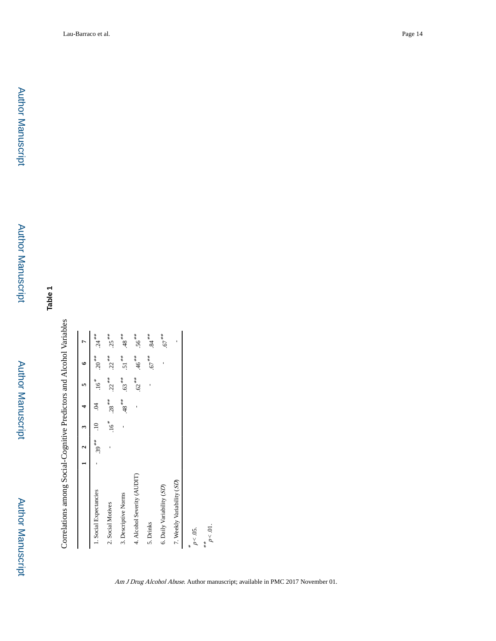Author Manuscript Author Manuscript

 Author ManuscriptAuthor Manuscript

Author Manuscript

**Author Manuscript** 

**Table 1**

Correlations among Social-Cognitive Predictors and Alcohol Variables Correlations among Social-Cognitive Predictors and Alcohol Variables

| $22^{***}$<br>$46**$<br>$51**$<br>$.67***$<br>$.20***$<br>ı<br>$62***$<br>$.22***$<br>$.63***$<br>$.16*$<br>$.28***$<br>$*^*8$ .<br>$\dot{5}$<br>ı<br>$.16*$<br>$.39***$<br>ï<br>4. Alcohol Severity (AUDIT)<br>7. Weekly Variability (SD)<br>6. Daily Variability (SD)<br>1. Social Expectancies<br>3. Descriptive Norms<br>2. Social Motives<br>5. Drinks |                 |  |  | m | ۴ |                  |
|-------------------------------------------------------------------------------------------------------------------------------------------------------------------------------------------------------------------------------------------------------------------------------------------------------------------------------------------------------------|-----------------|--|--|---|---|------------------|
|                                                                                                                                                                                                                                                                                                                                                             |                 |  |  |   |   | $.24***$         |
|                                                                                                                                                                                                                                                                                                                                                             |                 |  |  |   |   | $.25***$         |
|                                                                                                                                                                                                                                                                                                                                                             |                 |  |  |   |   | $^{***}$         |
|                                                                                                                                                                                                                                                                                                                                                             |                 |  |  |   |   | $.56***$         |
|                                                                                                                                                                                                                                                                                                                                                             |                 |  |  |   |   | $\cdot^{**}$ 84. |
|                                                                                                                                                                                                                                                                                                                                                             |                 |  |  |   |   | $.67***$         |
|                                                                                                                                                                                                                                                                                                                                                             |                 |  |  |   |   |                  |
|                                                                                                                                                                                                                                                                                                                                                             | $p<.01$ .<br>** |  |  |   |   |                  |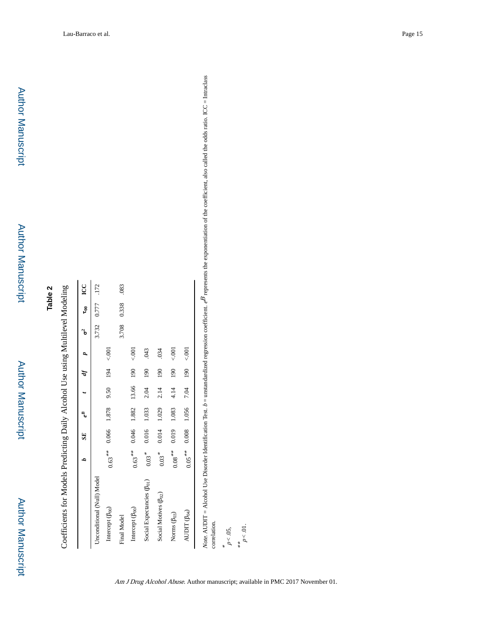| ١<br>֖֖֖֖֖֖֖֖֖֧֪֪֪֪֪֪֪֪֪֪֪֪֪֦֧֚֚֚֚֚֚֚֚֚֚֚֚֚֚֚֚֚֚֚֚֚֚֚֚֚֚֬֡֡֡֬֝֝֟ |
|------------------------------------------------------------------|
| ١                                                                |
| i                                                                |
| $\ddot{\phantom{a}}$                                             |
| $\frac{1}{2}$                                                    |
|                                                                  |
| ֘֝֕                                                              |
| $\zeta$                                                          |

|                                        |                     | SE <sub></sub> |                   |      |     |            | p     | ទី          | LCC  |
|----------------------------------------|---------------------|----------------|-------------------|------|-----|------------|-------|-------------|------|
| Unconditional (Null) Model             |                     |                |                   |      |     |            |       | 3.732 0.777 | .172 |
| Intercept (B <sub>00</sub> )           | $0.63***$           |                | 0.066 1.878       | 9.50 | 194 | 5001       |       |             |      |
| Final Model                            |                     |                |                   |      |     |            | 3.708 | 0.338       | .083 |
| Intercept (B <sub>00</sub> )           | $0.63***$           |                | 0.046 1.882 13.66 |      | 190 | 5001       |       |             |      |
| Social Expectancies (B <sub>01</sub> ) | $0.03*$             | 0.016          | 1.033             | 2.04 | 90  | <b>CRO</b> |       |             |      |
| Social Motives (B <sub>02</sub> )      | $0.03$ <sup>*</sup> | 0.014          | 1.029             | 2.14 | 190 | .034       |       |             |      |
| Norms $(\beta_{03})$                   | $0.08$ $\ ^{***}$   | 0.019          | 1.083             | 4.14 | 90  | 5001       |       |             |      |
| AUDIT $(\beta_{04})$                   | $0.05***$           | 0.008          | 1.056             | 7.04 | 190 | 5001       |       |             |      |

exponentiation of the coefficient, also called the odds ratio. ICC = Intraclass  $b =$  unstandardized regression coefficient.  $e^B$  represents the exponentiation of the coefficient, also called the odds ratio. ICC = Intraclass

 $p < .05$ ,<br>\*\*<br> $p < .01$ .